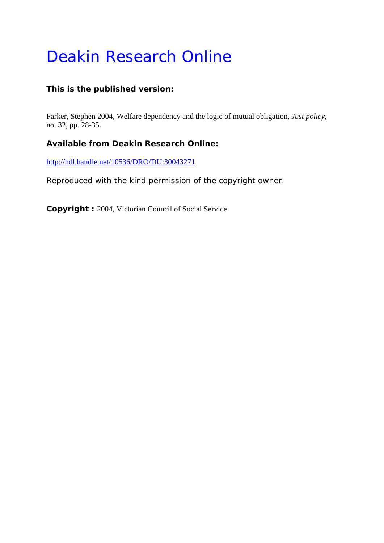# Deakin Research Online

# **This is the published version:**

Parker, Stephen 2004, Welfare dependency and the logic of mutual obligation*, Just policy*, no. 32, pp. 28-35.

# **Available from Deakin Research Online:**

http://hdl.handle.net/10536/DRO/DU:30043271

Reproduced with the kind permission of the copyright owner.

**Copyright :** 2004, Victorian Council of Social Service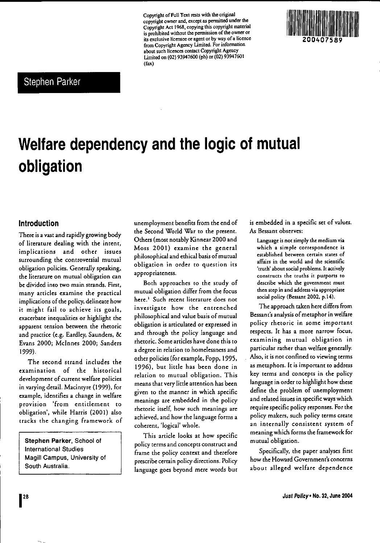**Copyright** of Full**Textrests with theoriginal copyright owner and. except aspermitted under the** Copyright Act 1968. copying thiscopyright material **is prohibited without the**permission **of theowner or itsexclusive licensee oragent orbywayof a licence from Copyright Agency Limited. For** information **about such licences contact Copyright Agency** Limited on (02) 93947600 (ph) or (02) 93947601 (fax)



# Stephen Parker

# **Welfare dependency and the logic of mutual obligation**

#### **Introduction**

There is a vast and rapidly growing body **of literature dealing with the intent, implications and other issues surrounding the controversial mutual** obligation policies. Generally speaking. **the** literature **on mutual obligation can bedivided** into **two mainstrands. First. many articles examine the practical** implications of the policy, delineate how it might fail to achieve its goals. exacerbate inequalities or highlight the **apparem tension between the rhetoric** and practice (e.g. Eardley. Saunders. & Evans 2000; Mcinnes 2000; Sanders 1999).

The second strand includes the **examination of the historical development of current welfare policies** in varying detail. Macintyre (1999). for example. identifies a change in welfare **provision 'from** entitlement **(0** obligation'. while Harris (2001) also tracks the changing framework of

**Stephen Parker,** School of International Studies Magill Campus. University of South Australia.

unemployment benefits from the end of the Second World War to the present. Others (most notably Kinnear 2000 and Moss 2001) examine the general philosophical and ethical basis ofmutual **obligation in order to question its appropriateness.**

Both approaches to the study of mutual obligation differ from the focus here. <sup>I</sup> **Such recent literature does not investigate how the entrenched** philosophical and value basis of mutual obligation is articulated or expressed in and through the policy language and **rhetoric. Some articles have done this to** a degree in relation to homelessness and other policies (for example. Popp, 1995. 1996), but little has been done in relation to mutual obligation. This **means that very little attention has been given to the manner in which specific** meanings are embedded in the policy **rhetoric itself. how such meanings are** achieved. and how the language forms a coherent. 'logical' whole.

This article looks at how specific **policy terms and concepts construct and** frame the policy context and therefore prescribe certain policy directions. Policy language goes beyond mere words but

is embedded in a specific set of values. *As* Bessent **observes:**

**Language is not simplythemedium via which a simple correspondence is established between certain states of affairs in the world and the scientific '[ruth'** about **social problems. It actively** constructs **the truths it purports to describe which the government must then step in and address viaappropriate** social policy (Bessant 2002, p.14).

The approach taken here differs from Bessant's analysis of metaphor in welfare **policy rhetoric in some important respects. It has a more narrow focus, examining mutual obligation in** particular rather than welfare generally. **Also, it is not confined to viewing terms as metaphors. It is important to address** key terms and concepts in the policy language in order to highlight how these define the problem of unemployment and related issues in specific ways which require specific policy responses. For the policy makers. such policy terms create **an internally consistent system of** meaning which forms the framework for mutual obligation.

Specifically. the paper analyses first **how the Howard Government's concerns** about alleged welfare dependence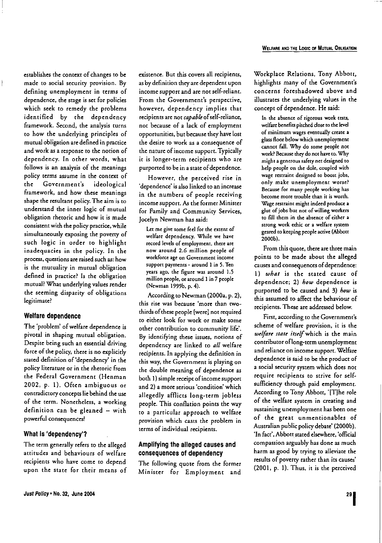establishes the context of changes to be **made to social security provision. By** defining unemployment in terms of dependence, the stage is ser for policies which seek to remedy the problems identified by rhe dependency framework. Second, the analysis turns ro how rhe underlying principles of murual obligation are defined in practice **and work as a response [Q the norion of** dependency. In other words, what follows is an analysis of the meanings policy terms assume in the context of the Government's ideological **framework. and how these meanings** shape the resultant policy.The aim is to **understand the inner logic of mutual obligation** rhetoric **and how it is made** consisrent with the policy practice, while simultaneously exposing the poverty of such logic in order to highlight inadequacies in the policy. In rhe **process, questions are raised suchas: how** is the mutuality in mutual obligation defined in practice? Is the obligation mutual? What underlying values render the seeming disparity of obligations **legitimate?**

 $\bigg\}$ 

#### **Welfare dependence**

The 'problem' of welfare dependence is pivotal in shaping mutual obligation. **Despite beingsuch an essential driving** force of the policy, there is no explicitly stated definition of 'dependency' in the **policy literature or in the rhetoric from** the Federal Government (Henman 2002, p. I). Often ambiguous or contradicrory concepts liebehind the use of the term. Nonerheless, a working definition can be gleaned  $-$  with **powerful consequences!**

#### **What Is 'dependency'?**

Just Policy' No. 32, June 2004

The term generally refers to the alleged attitudes and behaviours of welfare **recipients who have come: (0 depend** upon the state for their means of **existence.** Bur **this covers all recipients,** as by definition they are dependent upon income support and are not self-reliant. **From the Government's perspective,** however, dependency implies that recipients are not *capable* of self-reliance, not because of a lack of employment opportunities, but because they have lost **the desire to work as a consequence of** the nature of income support. Typically **it is longer-term recipients who** are **purported to be in a state ofdependence.**

**However, the perceived rise in 'dependence' is also linked to an increase in the numbers of people receiving income** support, *As* **the former Minister** for Family and Community Services, Jocelyn Newman has said:

**Letme give some feel for the extentof welfare dependency. While we have record levels of employment, there are now around 2.6 million people of workforce ageon Government income suppOrt payments - around 1 in 5. Ten years ago, the figure was around 1.5 millionpeople,oraround 1in 7 people** (Newman 1999b, p. 4).

According to Newman (2000a, p. 2), **this rise was because 'more than two**thirds of these people [were] not required **to either look for work or make some other contribution to community life'. By identifying these issues, notions of** dependency are linked to *all* welfare recipients. In applying the definition in **this way. the Government is playing on** the double meaning of dependence as both 1) simple receipt of income support **and 2) a more serious 'condition' which** allegedly afflicts long-term jobless people. This conflation points the way to a particular approach to welfare provision which casts the problem in **terms ofindividual recipients.**

#### **Amplifying the alleged causes and consequences of dependency**

The following quote from the former Minister for Employment and Workplace Relations, Tony Abbott, highlights many of the Government's concerns foreshadowed above and illustrates the underlying values in the concept of dependence. He said:

**In the absence of rigorous work tests, welfare benefits pitched dose to thelevel of minimum wages eventually create a glass floorbelowwhichunemployment cannot fall. Why do some people not work? Because theydonothave to.Why mighta generous safety netdesigned to help people on the dole, coupled with wage restraint designed to boost** *jobs,* **only make unemployment worse? Because for many people working has become more trouble than it is worth. Wage** restraint might indeed produce a **glut ofjobs but not of willingworkers to fill them in the absence of either a strong work ethic or a welfare system geared to keepingpeopleactive (Abbott** 2000b).

From this quote, there are three main points to be made about the alleged **causes and consequences ofdependence:** *1) what* is the stated cause of dependence: 2) *how* dependence is purported to be caused and 3) *how* is this assumed to affect the behaviour of recipients. These are addressed below.

**First. according to the Government's scheme of welfare provision, it is the** w~lfau *start itulf* **which is the main** contributor oflong-terrn unemployment **and reliance on income support. Welfare** dependence is said to be the product of **a social security system which does not require recipients to strive for** selfsufficiency through paid employment. According to Tony Abbott, '[T]he role of the welfare system in creating and **sustaining unemployment has been one** of the great unmentionables of Australian public policydebate' (2000b). 'In fact', Abbott stated elsewhere, 'official compassion arguably has done as much harm as good by trying to alleviate the **results of poverty rather than its causes'** (2001, p. I). Thus, it is the perceived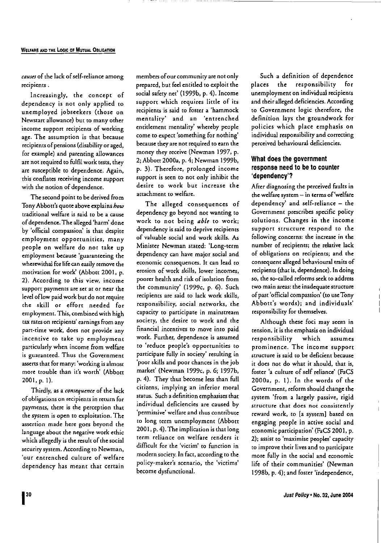causes of the lack of self-reliance among **reCipients.**

Increasingly, the concept of dependency is not only applied to unemployed jobseekers (those on Newsrart allowance) but to many other **income support recipients of working age. The assumption is that because** recipients of pensions (disability or aged, for example) and parenting allowances are not required to fulfil work tests, they are susceptible to dependence. Again, **this conflates receiving income support** with the notion of dependence.

The second point to be derived from Tony Abbott's quote above explains *how* **traditional welfare is said to be a cause** of dependence. The alleged 'harm' done by 'official compassion' is that despite **employment opportunities, many** people on welfare do not take up **employment because 'guaranteeing the** wherewithal for life can easily remove the motivation for work' (Abbott 2001, p. **2). According to this view, income suppon payments are set at or near the** level of low paid work but do not require the skill or effort needed for employment. This, combined with high **taxrates on recipients' earnings from any part-time work, docs not provide any incentive [0 take up employment** particularly when income from welfare **is guaranteed. Thus the Government asserts that for many: 'working is almost** more trouble than it's worth' (Abbott 200I,p.I).

Thirdly, as a *consequence* of the lack **ofobligations on recipients in return for payments, there is the perception that the system is open to exploitation. The assertion made here goes beyond the language** about **the negative work ethic** which allegedly is the result of the social **security system. According to Newman, 'our entrenched culture of welfare** dependency has meant that certain

**membersofour community arenot only** prepared, but feel entitled to exploit the social safety net' (I999b, p. 4). Income support which requires little of its **recipients is said to foster a 'hammock men** taliry' **and an 'en trenched** entitlement mentality' whereby people **come to expect 'something for nothing'** because they are not required to earn the money they receive (Newman 1997, p. 2: Abbott 2000a, p. 4: Newman 1999b, p. 3). Therefore, prolonged income support is seen to not only inhibit the **desire to work but increase the attachment to welfare.**

The alleged consequences of dependency go beyond not wanting to work to not being *able* to work: **dependency is said to deprive recipients** of valuable social and work skills. As Minister Newman stated: 'Long-term dependency can have major social and **economic consequences. It can lead to erosion of work skills, lower incomes,** poorer health and risk of isolation from the community' (1999c, p. 6). Such recipients are said to lack work skills, responsibility, social networks, the **capacity to participate in mainstream society, the desire to work and the financial incentives to move into paid work. Further, dependence is assumed to 'reduce people's opportunities to** participate fully in society' resulting in 'poor skills and poor chances in the job market' (Newman 1999c, p. 6: 1997b, p. 4). They thus become less than full **citizens, implying an inferior moral** status. Such a definition emphasises that **individual deficiencies are caused by 'permissive'welfare and thus contribute** to long term unemployment (Abbott 2001, p. 4). The implication is that long **term reliance on welfare renders it difficult for the 'victim' to function in** modern society. In fact, according to the **policy-maker's scenario, the 'victims'** become dysfunctional.

Such a definition of dependence places the responsibility for unemployment on individual recipients and their alleged deficiencies. According **to Government logic therefore, the** definition lays the groundwork for policies which place emphasis on individual responsibility and correcting perceived behavioural deficiencies.

#### **What does the government response need to be to counter 'dependency'?**

After diagnosing the perceived faults in the welfare system - in terms of 'welfare dependency' and self-reliance - the Government prescribes specific policy **solutions. Changes in the income support structure respond to the following concerns: the increase in the number of** recipients: **the relative lack of obligations on recipients; and the** consequent alleged behavioural traits of recipients (that is, dependence). In doing so, the so-called reforms seek to address **two main areas: the inadequatestructure** of past 'official compassion' (to use Tony Abbott's words): and individuals' responsibility for themselves.

Although these foci may seem in **tension, it is the emphasis on individual** responsibility which assumes prominence. The income support **structure is said [Q be deficient because** it does not do what it should, that is, foster 'a culture of self reliance' (FaCS 2000a, p. 1). In the words of the Government, reform should change the system 'from a largely passive, rigid **structure that does not consistently** reward work, to [a system] based on engaging people in active social and economic participation' (FaCS 200 I, p. **2); assist to 'maximise peoples' capacity to improve their lives and (Q participate** more fully in the social and economic life of their communities' (Newman 1998b, p. 4); and foster 'independence,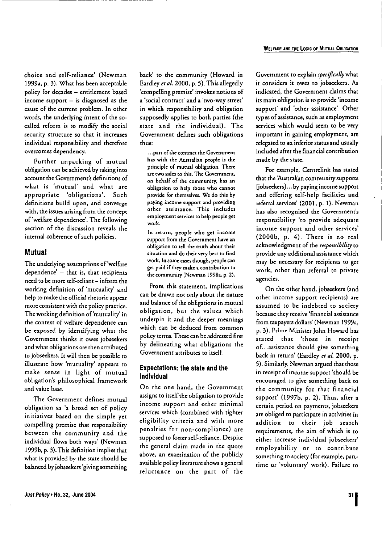**choice and self-reliance' (Newman** 1999a, p. 3). What has been acceptable policy for decades - entitlement based income support  $-$  is diagnosed as the cause of the current problem. In other words, the underlying intent of the socalled reform is to modify the social **security structure so that it increases** individual responsibility and therefore **overcomes dependency.**

--------------------

Further unpacking of mutual obligation can be achieved by taking into **account the Government's** definitions **of what is 'mutual' and what arc:** appropriate 'obligations'. Such **definitions build upon, and converge: with, the issues arising from theconcept** of 'welfare dependence'. The following **section of the discussion reveals the internal coherence ofsuch policies.**

#### **Mutual**

The underlying assumptions of'welfare **dependence' - that is, that recipients** need to be more self-reliant - inform the working definition of 'mutuality' and help to make the official rhetoric appear **more consistent with the policy practice.** The working definition of'muruality' in the context of welfare dependence can be exposed by identifying what the **Government thinks it owes** jobseekers and what obligations are then attributed to jobseekers, It will then be possible to illustrate how 'mutuality' appears to make sense in light of mutual obligarion's philosophical framework and value base.

The Governmenr defines mutual obligarion as 'a broad set of policy **initiatives based on the simple yet** compelling premise that responsibility **between the community and the** individual flows both ways' (Newman 1999b, p. 3). This definition implies that what is provided by the state should be balanced by jobseekers'giving something

back' to the community (Howard in Eardley *et al.* 2000, p. 5). This allegedly **'compelling premise' invokes notions of a 'social contract' and a 'two-way street'** in which responsibility and obligation supposedly applies to both parties (the state and the individual). The Government defines such obligations thus:

**. .. partofthe contract the Government has with the Australian people is the principle of mutual obligation. There are** rwc **sides to this. The Government. on behalf of the community, has an obligation to help those who cannot provide for themselves. We do this by paying income support and providing other assistance. This includes employment services to help people get work.**

**In return, people who get income** support from the Government have an **obligation to tell the truth about their situation and do their very best to find work. In some cases though, people can get paid if they make a contribution to the community (Newman 1998a. p. 2).**

**From this statement, implications can be drawn not only about the nature** and balance of the obligations in mutual obligation, but the values which **underpin it and the deeper meanings** which can be deduced from common policy terms. These can be addressed first by delineating what obligations the **Government attributes to** itself

#### **Expeclations: Ihe** state **and Ihe Individual**

On the one hand, the Government assigns to itself the obligation to provide **income support and other minimal services which (combined with tighter** eligibility criteria and with more penalties for non-compliance) are supposed to foster self-reliance. Despite the general claim made in the quote above, an examination of the publicly available policy literature shows a general reluctance on the part of the

Government to explain *specifically* what it considers it owes to jobseekers. As **indicated, the Government claims that its main obligation is to provide 'income support' and 'other assistance'. Other** types of assistance, such as employment services which would seem to be vety important in gaining employment, are relegated to an inferior status and usually included after the financial contribution made by the state.

For example, Cenrrelink has stated that the 'Australian community supports [jobseekers]...by paying income support and offering self-help facilities and referral services' (2001, p. I). Newman **has also recognised the Government's** responsibiliry 'to provide adequate **income support and other services'** (2000b, p. 4). There is no real acknowledgment of the *responsibility* to **provide any additional assistance which may be necessary for recipients to get work, other than referral to private agencies.**

On the other hand, jobseekers (and **other income support recipients) are** assumed to be indebted *to* society **because they receive 'financial assistance** from taxpayers dollars' (Newman 1999a, p. 3). Prime Minister John Howard has **stated that 'those in receipt of...assistance should give something** back in return' (Eardley *et aL* 2000, p. 5). Similarly, Newman argued that those in receipt of income support 'should be **encouraged to give something back to** the community for that financial support' (l997b, p. 2). Thus, after a **certain period on payments,** jobseekers **are obliged to participate in activities in** addition to their job search **requirements, the aim of which is to either increase individual** jobseekers' employability or to contribute something to society (for example, parttime or 'voluntary' work). Failure to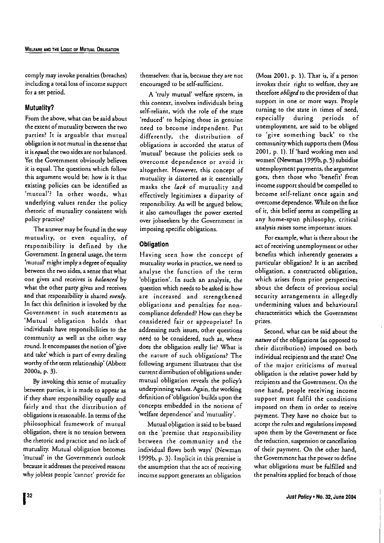comply may invoke penalties (breaches) including a total loss of income support for a set period.

### **Mutuality?**

From the above, what can be said about the extent of mutuality between the two parties? It is arguable that mutual obligation is not mutual in the sense that it is*equal;* the two sides are not balanced. Vet the Government obviously believes it is equal. The questions which follow **this argument would be: how is it that** existing policies can be identified as **'mutual'? In other words, what** underlying values render the policy **rhetoric of mutuality consistent with policy practice?**

The answer may be found in the way **mutuality, or even equality, of** responsibility is defined by the Government. In general usage, the term 'mutual' might imply a degree ofequality **between the two sides, a sense that what one gives and receives is** *balanced* **by what the other parrygives and receives** and that responsibility is shared *evenly.* In fact this definition is invoked by the **Government in such statements as** 'Mutual obligation holds that individuals have responsibilities to the community as well as the other way round. It encompasses the notion of 'give and take' which is part of every dealing worthy of the term relationship' (Abbott 2000a, p. 3).

By invoking this sense of mutuality **between parties. it is made to appear as** if they share responsibility equally and fairly and that the distribution of obligations is reasonable. In terms of the philosophical framework of mutual obligation, there is no tension between the rhetoric and practice and no lack of mutuality. Mutual obligation becomes **'mutual' in the Government's outlook becauseit addresses the perceivedreasons** why jobless people 'cannot' provide for

**themselves: that is, because they are not** encouraged to be self-sufficient.

**A 'truly mutual' welfare system, in** this context, involves individuals being self-reliant, with the role of the state **'reduced' to helping those in genuine** need to become independent. Put differently, the distribution of obligations is accorded the status of **'mutual' because the policies seek to overcome dependence or avoid it altogether. However, this concept of mutuality is distorted as it essentially** masks the *lack* of mutuality and effectively legitimises a disparity of responsibility. As will be argued below, **it also camouflages the power exerted over** jobseekers **by the Government in** imposing specific obligations.

#### **Obligation**

Having seen how the concept of **mutuality works in practice, we need to** analyse the function of the term 'obligation'. In such an analysis, the question which needs to be asked is: how **are increased and strengthened** obligations and penalties for noncompliance defended? How can they be **considered fair or appropriate? In addressing such issues, other questions** need to be considered, such as, where does the obligation really lie? What is the nature of such obligations? The following argument illustrates that the **currentdistribution ofobligations under** mutual obligation reveals the policy's underpinning values.Again, the working definition of'obligation' builds upon the concepts embedded in the notions of 'welfare dependence' and 'mutuality'.

Mutual obligation issaid to be based on the 'premise that responsibility between the community and the individual flows both ways' (Newman 1999b, p. 3}. Implicit in this premise is **the assumption that the act of receiving income suppOrt generates an obligation**

(Moss 2001, p. I). That is, if a person **invokes their right to welfare, they are** therefore *obliged* to the providers of that **support in one or more ways. People turning to the state in times of need,** especially during periods of unemployment, are said to be obliged to 'give something back' to the communitywhich supports them (Moss 2001, p. I). If 'hard working men and women' (Newman 1999b, p. 5) subsidise **unemployment payments, the argument** goes, then those who 'benefit' from income support should be compelled to become self-relianr once again and overcome dependence. While on the face of it, this belief seems as compelling as any home-spun philosophy, critical analysis raises some important issues.

**For example, what is there about the act of receiving unemployment or other** benefits which inherently generates a particular obligation? It is an ascribed obligation, a constructed obligation, **which arises from prior perspectives** about the defects of previous social security arrangements in allegedly undermining values and behavioural **characteristics which the Government** prizes.

Second, what can be said about the *nature* of the obligations (as opposed to their distribution} imposed on both individual recipients and the state? One **of the major criticisms of mutual** obligation is the relative power held by **recipients and the Government. On the one** hand, **people receiving income** support must fulfil the conditions **imposed on them in order to receive** payment. They have no choice but to **accept the rulesand regulations imposed** upon them by the Government or face **the reduction, suspension or cancellation** of their payment. On the other hand, the Government has the power to define what obligations must be fulfilled and the penalties applied for breach of those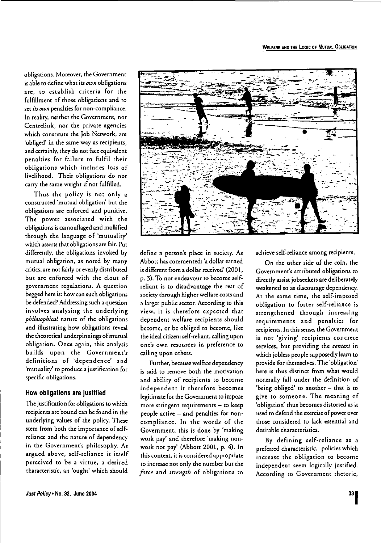obligations, Moreover, the Government isable to define what its *own* obligations ate, to establish crireria For the fulfillment of those obligations and to set *its*own penalties for non-compliance, In reality, neither the Government, nor Cenrrelink, nor the private agencies which constitute the Job Network, are 'obliged' in the same way as recipients, and certainly, they do not face equivalent penalties for failure to fulfil their obligations which includes loss of livelihood. Their obligations do not carry the same weight if not fulfilled.

Thus the policy is not only a constructed 'mutual obligation' but the obligations are enforced and punitive. The power associated with the obligations iscamouflaged and mollified through the language of 'mutuality' which asserts that obligations are fair. Put difierenrly, the obligations invoked by mutual obligation, as noted by many critics, are not fairly or evenly distributed but are enforced with the clout of government regulations. A question begged here is: how can such obligations be defended?Addressing such a question involves analysing the underlying *philosophical* nature of the obligations and illustrating how obligations reveal the theoretical underpinnings of mutual obligation. Once again, this analysis builds upon the Government's definitions of 'dependence' and 'mutuality' to produce a justification for specific obligations.

#### How obligations are justified

The justification for obligations to which recipients are bound can be found in the underlying values of the policy. These stem from both the importance of selfreliance and the nature of dependency in the Government's philosophy. As argued above, self-reliance is itself perceived to be a virtue, a desired characteristic, an 'ought' which should



define a person's place in society. As Abbott has commented: 'a dollar earned isdifferent from a dollar received' (2001, p. 3). To not endeavour to become selfreliant is to disadvantage the rest of society through higher welfare costs and a larger public sector. According to this view, it is therefore expected that dependent welfare recipients should become, or be obliged to become, like the ideal citizen: self-reliant, calling upon one's own resources in preference to calling upon others.

Further, because welfare dependency is said to remove both the motivation and ability of recipients to become independent it therefore becomes legitimate for the Government to impose more stringent requirements  $-$  to keep people active - and penalties for noncompliance. In the words of the Government, this is done by 'making work pay' and therefore 'making nonwork not pay' (Abbott 2001, p. 4). In this context. it is considered appropriate to increase not only the number but the *force* and *strength* of obligations to achieve self-reliance among recipients.

On the other side of the coin, the Government's attributed obligations to directly assist jobseekers are deliberately weakened so as discourage dependency. At the same time, the self-imposed obligation to foster self-reliance is strengthened through increasing requirements and penalties for recipients. In this sense, the Government is not 'giving' recipients concrete services, hut providing the *context* in which jobless people supposedly learn to provide for themselves. The 'obligation' here is thus distinct from what would normally fall under the definition of 'being obliged' to another - that is to give to someone. The meaning of 'obligation' thus becomes distorted as it used to defend the exercise of power over those considered to lack essential and desirable characteristics.

By defining self- reliance as a preferred characteristic, policies which increase the obligation to become independent seem logically justified. According to Government rhetoric,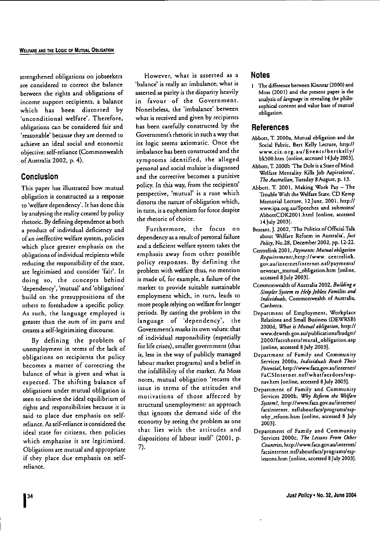strengthened obligations on jobseekers **are considered to correct the balance** berween the rights and obligations of **income support recipients, a balance** which has been distorted by **'unconditional welfare'. Therefore,** obligations can be considered fair and 'reasonable' because they are deemed to **achieve an ideal social and economic** objecrive: self-reliance (Commonwealth ofAusrealia 2002, p. 4).

### **Conclusion**

This paper has illustrated how murual obligarion is constructed as a response to 'welfare dependency'. It has done this by analysing the reality created by policy rhetoric. Bydefining dependence as both a product of individual deficiency and **ofan ineffective welfare system, policies which place greater emphasis on the obligations** ofindividual recipients **while reducing the responsibility of the state, are legitimised and consider 'fair'. In** doing so, the concepts behind **'dependency', 'mutual' and 'obligations'** build on the presupposirions of the others to foreshadow a specific policy. As such, the language employed is **greater than the sum of its parts and creates a** self-legitimising **discourse.**

By defining the problem of unemployment in terms of the lack of obligations on recipients the policy **becomes a matter of correcting the** balance of what is given and what is expected. The shifting balance of obligations under mutual obligation is seen to achieve the ideal equilibrium of **rights and responsibilities because it is** said to place due emphasis on self**reliance. As self-relianceis considered the ideal state for citizens, then policies** which emphasise it are legitimised. Obligarions are mutual and appropriate if they place due emphasis on self**reliance.**

**However, what is asserted as a 'balance' is really an imbalance; what is** asserted as parity is the disparity heavily **in favour of the Government.** Nonetheless, the 'imbalance' between **what is received and given by recipients** has been carefully constructed by the **Government'srhetoricin such away that its logic seems axiomatic. Once the imbalance has been constructed and the** symptoms identified, the alleged **personal and social malaise is diagnosed and the corrective becomes a punitive** policy. In this way, from the recipients' **perspective, 'mutual' is a ruse which** distorts the nature of obligation which, **in turn, is a euphemism for force despite** the rhetoric of choice.

**Furthermore, the focus on** dependency as a result of personal failure **and a deficient welfare system takes the emphasis away from other possible** policy responses. By defining the problem with welfare thus, no mention is made of, for example, a failure of the **market (Q provide suitable sustainable employment which, in turn, leads to** more people relying on welfare for longer periods. By casring the problem in the language of 'dependency', the **Government's masks its own values: that** of individual responsibility (especially for life crises), smaller government (that is, less in the way of publicly managed labour market programs) and a beliefin the infallibility of the market. As Moss **notes, mutual obligation 'recasts the issue in terms of the attitudes and** motivations of those affected by structural unemployment: an approach that ignores the demand side of the economy by seeing the problem as one that lies with the arrirudes and dispositions of labour itself' (2001, p. 7).

#### **Notes**

**The difference** between **Kinnear (2000)and Moss (2001) and the present paper is the** analysis of *language* in revealing the philo**sophical content andvalue base of mutual obligation.**

#### **References**

- **Abbott,T. 2000a, Mutual obligation and the** Social Fabric. Bert Kelly Lecture, bttp:/I **www.cis.org.au/Eve n[SIbert kell** *yl* bkSOO.htm [online. accessed14July 2003J.
- Abbott, T. 2000b 'The Dole is a State of Mind: **Welfare Mentality** Kills **Job Aspirations',** *TheAustralian,* Tuesday gAugusr, p. 13.
- Abbott, T. 2001, Making Work Pay The Trouble With the Welfare State, CD Kemp Memorial Lecture, 12June, 2001, http:// **www.ipa.org.au/Speeches and submssnsl AbbonCDKlOOI.html [online, accessed** 14July 2003J.
- Bessant, J. 2002, 'The Politics of Official Talk **about Welfare Reform in Australia',** *JUSI Polity,* No.2S. December 2002, pp. 12-22.
- **Centrelink 2001.** *Payments: Mutu4/obligation* Requirements, http://www. centrelink. **gov.au!i**nternet/**in**temet. **nsflpaymentsl** newsranjmurual.iobligation.htm **[online.** accessed 8 July 2003].
- **Commonwealth of Australia 2002,** *Building* **a** *Simpler Systtm '0 H,tpJobkss Families and Individuals,* **Commonwealth of Australia, Canberra.**
- **Department of Employment, Workplace Relations and Small Business (DEWRSB)** 2000d, *Whas isMutual obliga'ion,* http:// **www.dewrsb.gov.au/publications/budget/** *20001* facrsheetsr**mutal\_obi** igarion. **asp** [online, accessed SJuly 20031.
- **Department of Family and Community Services 2000a,** *IndivitJuau* R~a(h *Their Potential,* **http://www.facs.gov.au!intcrnet/**  $FaCSInternet.nsf/whatfacsdoes/esp$ nav.hrm**[online. accessed BJuly 2003].**
- **Department of Family and Community**  $S$ ervices 2000b, *Why Reform the Welfare System?,* **http://www.facs.gov.au/internet/** facsinternet. **nsf/aboutfacs/programs/esp. why\_reform.htrn [online, accessed 8 July** 20031·
- **Department of Family and Community Services 2000c,** *The Lessons From Olha Countries,* **http://www.facs.gov.au/internet/ facsin tern**et.*nsfl*abou*tfacsl***progcamsl**esp**lessons.htm [online, accessed 8July 2003].**